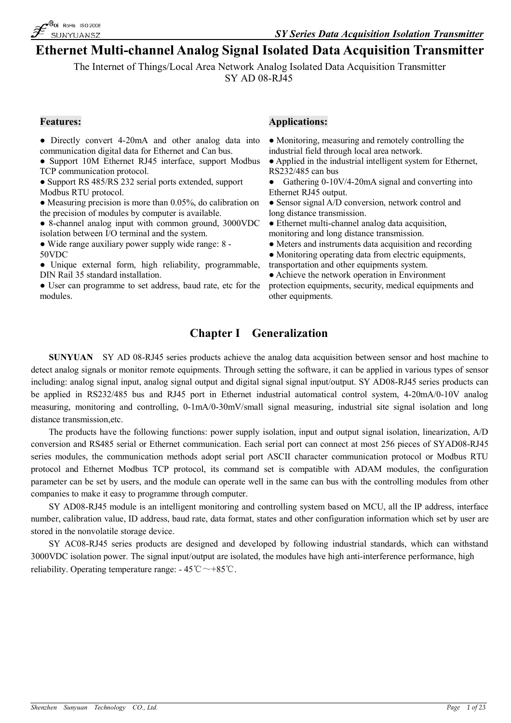

# **Ethernet Multi-channel Analog Signal Isolated Data Acquisition Transmitter**

The Internet of Things/Local Area Network Analog Isolated Data Acquisition Transmitter SY AD 08-RJ45

- Directly convert 4-20mA and other analog data into communication digital data for Ethernet and Can bus.
- Support 10M Ethernet RJ45 interface, support Modbus TCP communication protocol.
- Support RS 485/RS 232 serial ports extended, support Modbus RTU protocol.
- Measuring precision is more than 0.05%, do calibration on the precision of modules by computer is available.
- 8-channel analog input with common ground, 3000VDC isolation between I/O terminal and the system.
- Wide range auxiliary power supply wide range: 8 50VDC
- Unique external form, high reliability, programmable, DIN Rail 35 standard installation.
- User can programme to set address, baud rate, etc for the modules.

### **Features: Applications:**

- Monitoring, measuring and remotely controlling the industrial field through local area network.
- Applied in the industrial intelligent system for Ethernet, RS232/485 can bus
- Gathering 0-10V/4-20mA signal and converting into Ethernet RJ45 output.
- Sensor signal A/D conversion, network control and long distance transmission.
- Ethernet multi-channel analog data acquisition, monitoring and long distance transmission.
- Meters and instruments data acquisition and recording
- Monitoring operating data from electric equipments,
- transportation and other equipments system.
- Achieve the network operation in Environment protection equipments, security, medical equipments and other equipments.

## **Chapter I Generalization**

**SUNYUAN** SY AD 08-RJ45 series products achieve the analog data acquisition between sensor and host machine to detect analog signals or monitor remote equipments. Through setting the software, it can be applied in various types of sensor including: analog signal input, analog signal output and digital signal signal input/output. SY AD08-RJ45 series products can be applied in RS232/485 bus and RJ45 port in Ethernet industrial automatical control system, 4-20mA/0-10V analog measuring, monitoring and controlling, 0-1mA/0-30mV/small signal measuring, industrial site signal isolation and long distance transmission,etc.

The products have the following functions: power supply isolation, input and output signal isolation, linearization, A/D conversion and RS485 serial or Ethernet communication. Each serial port can connect at most 256 pieces of SYAD08-RJ45 series modules, the communication methods adopt serial port ASCII character communication protocol or Modbus RTU protocol and Ethernet Modbus TCP protocol, its command set is compatible with ADAM modules, the configuration parameter can be set by users, and the module can operate well in the same can bus with the controlling modules from other companies to make it easy to programme through computer.

SY AD08-RJ45 module is an intelligent monitoring and controlling system based on MCU, all the IP address, interface number, calibration value, ID address, baud rate, data format, states and other configuration information which set by user are stored in the nonvolatile storage device.

SY AC08-RJ45 series products are designed and developed by following industrial standards, which can withstand 3000VDC isolation power. The signal input/output are isolated, the modules have high anti-interference performance, high reliability. Operating temperature range:  $-45^{\circ}\text{C} \sim +85^{\circ}\text{C}$ .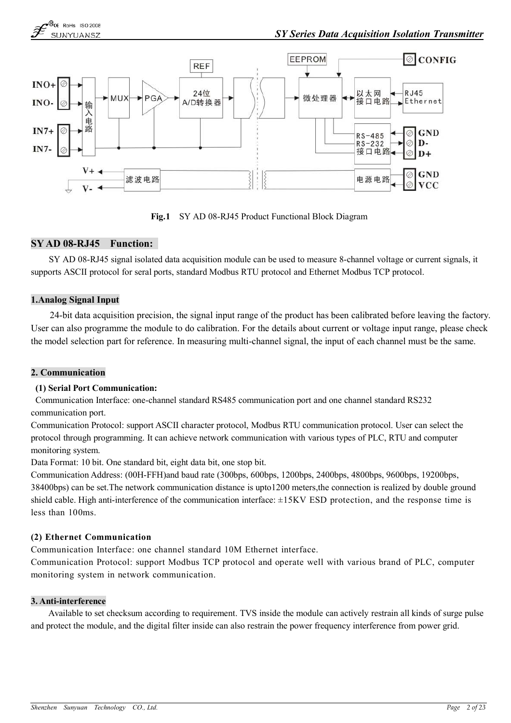

**Fig.1** SY AD 08-RJ45 Product Functional Block Diagram

### **SY AD 08-RJ45 Function:**

SY AD 08-RJ45 signal isolated data acquisition module can be used to measure 8-channel voltage or current signals, it supports ASCII protocol for seral ports, standard Modbus RTU protocol and Ethernet Modbus TCP protocol.

### **1.Analog Signal Input**

24-bit data acquisition precision, the signal input range of the product has been calibrated before leaving the factory. User can also programme the module to do calibration. For the details about current or voltage input range, please check the model selection part for reference. In measuring multi-channel signal, the input of each channel must be the same.

### **2. Communication**

### **(1) Serial Port Communication:**

Communication Interface: one-channel standard RS485 communication port and one channel standard RS232 communication port.

Communication Protocol: support ASCII character protocol, Modbus RTU communication protocol. User can select the protocol through programming. It can achieve network communication with various types of PLC, RTU and computer monitoring system.

Data Format: 10 bit. One standard bit, eight data bit, one stop bit.

Communication Address: (00H-FFH)and baud rate (300bps, 600bps, 1200bps, 2400bps, 4800bps, 9600bps, 19200bps, 38400bps) can be set.The network communication distance is upto1200 meters,the connection is realized by double ground shield cable. High anti-interference of the communication interface: ±15KV ESD protection, and the response time is less than 100ms.

### **(2) Ethernet Communication**

Communication Interface: one channel standard 10M Ethernet interface.

Communication Protocol: support Modbus TCP protocol and operate well with various brand of PLC, computer monitoring system in network communication.

### **3. Anti-interference**

Available to set checksum according to requirement. TVS inside the module can actively restrain all kinds of surge pulse and protect the module, and the digital filter inside can also restrain the power frequency interference from power grid.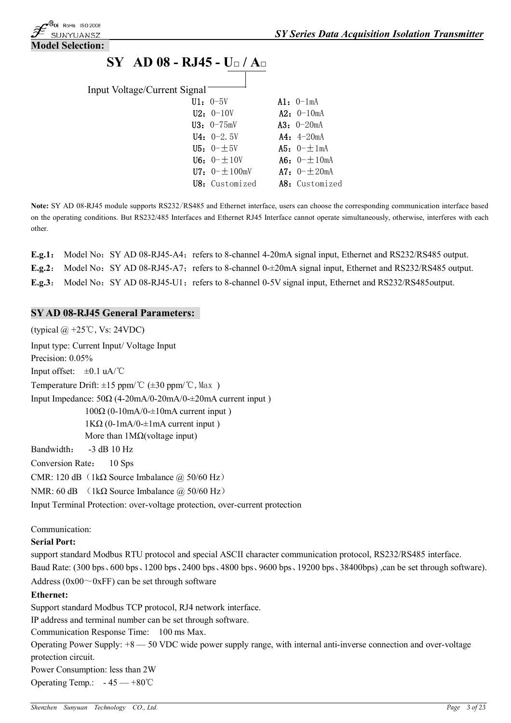

# **SY AD 08 - RJ45 - U□ / A□**

| Input Voltage/Current Signal |                          |                     |
|------------------------------|--------------------------|---------------------|
|                              | $U1: 0-5V$               | $Al: 0-1mA$         |
|                              | $U2: 0-10V$              | $A2: 0-10mA$        |
|                              | $U3: 0-75mV$             | $A3: 0-20mA$        |
|                              | $U4: 0-2.5V$             | $A4: 4-20mA$        |
|                              | <b>U5:</b> $0 - \pm 5V$  | A5: $0 - \pm 1$ mA  |
|                              | <b>U6:</b> $0 - \pm 10V$ | A6: $0 - \pm 10$ mA |
|                              | U7: $0 - \pm 100$ mV     | A7: $0 - + 20$ mA   |
|                              | U8: Customized           | A8: Customized      |
|                              |                          |                     |

**Note:** SY AD 08-RJ45 module supports RS232/RS485 and Ethernet interface, users can choose the corresponding communication interface based on the operating conditions. But RS232/485 Interfaces and Ethernet RJ45 Interface cannot operate simultaneously, otherwise, interferes with each other.

|  | <b>E.g.1:</b> Model No: SY AD 08-RJ45-A4; refers to 8-channel 4-20mA signal input, Ethernet and RS232/RS485 output.        |
|--|----------------------------------------------------------------------------------------------------------------------------|
|  | <b>E.g.2:</b> Model No: SY AD 08-RJ45-A7; refers to 8-channel 0- $\pm$ 20mA signal input, Ethernet and RS232/RS485 output. |
|  | E.g.3: Model No: SY AD 08-RJ45-U1; refers to 8-channel 0-5V signal input, Ethernet and RS232/RS485 output.                 |

### **SY AD 08-RJ45 General Parameters:**

(typical  $@ +25^\circ \text{C}$ , Vs: 24VDC) Input type: Current Input/ Voltage Input Precision:  $0.05\%$ Input offset:  $\pm 0.1$  uA/°C Temperature Drift:  $\pm 15$  ppm/°C ( $\pm 30$  ppm/°C, Max) Input Impedance: 50Ω (4-20mA/0-20mA/0-±20mA current input )  $100\Omega$  (0-10mA/0- $\pm$ 10mA current input)  $1K\Omega$  (0-1mA/0- $\pm$ 1mA current input) More than 1MΩ(voltage input) Bandwidth: -3 dB 10 Hz Conversion Rate: 10 Sps CMR: 120 dB  $(1k\Omega)$  Source Imbalance @ 50/60 Hz) NMR: 60 dB (1kΩ Source Imbalance  $\omega$  50/60 Hz) Input Terminal Protection: over-voltage protection, over-current protection Communication: **Serial Port:** support standard Modbus RTU protocol and special ASCII character communication protocol, RS232/RS485 interface. Baud Rate: (300 bps、600 bps、1200 bps、2400 bps、4800 bps、9600 bps、19200 bps、38400bps) ,can be set through software). Address ( $0x00^\circ$  $0xF$ F) can be set through software **Ethernet:** Support standard Modbus TCP protocol, RJ4 network interface. IP address and terminal number can be set through software. Communication Response Time: 100 ms Max. Operating Power Supply: +8 — 50 VDC wide power supply range, with internal anti-inverse connection and over-voltage protection circuit. Power Consumption: less than 2W

Operating Temp.:  $-45 - +80^{\circ}$ C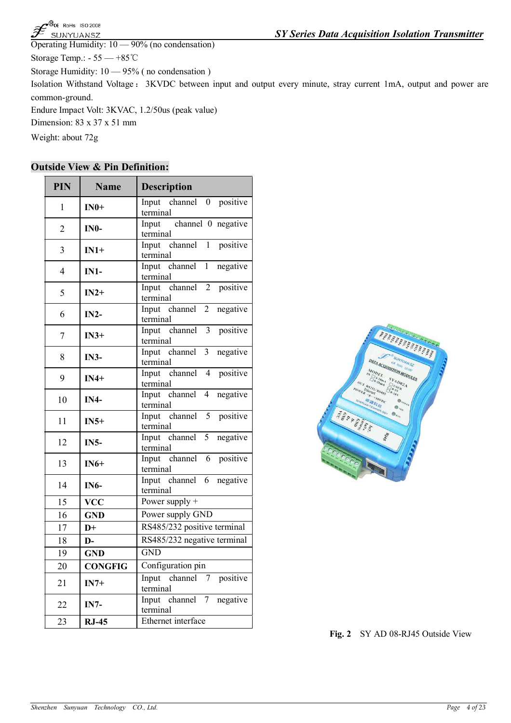| Shenzhen | Sunyuan | cra.<br>Technology<br>. . | $\sim$<br>Ltd.<br>-CO | Page | $\sim$ $\sim$<br>4 01 |
|----------|---------|---------------------------|-----------------------|------|-----------------------|

| $\mathcal F$ sunyuansz                            |  |
|---------------------------------------------------|--|
| Operating Humidity: $10 - 90\%$ (no condensation) |  |
| Storage Temp.: $-55 - +85^{\circ}$ C              |  |

Storage Humidity: 10 — 95% ( no condensation )

Isolation Withstand Voltage: 3KVDC between input and output every minute, stray current 1mA, output and power are common-ground.

Endure Impact Volt: 3KVAC, 1.2/50us (peak value)

Dimension: 83 x 37 x 51 mm

**BCE ROHS ISO 2008** 

Ğ

Weight: about 72g

### **Outside View & Pin Definition:**

| <b>PIN</b>     | <b>Name</b>    | <b>Description</b>                                      |
|----------------|----------------|---------------------------------------------------------|
| 1              | $IN0+$         | Input channel 0 positive<br>terminal                    |
| $\overline{2}$ | $IN0-$         | Input channel 0 negative<br>terminal                    |
| 3              | $IN1+$         | Input channel 1 positive<br>terminal                    |
| $\overline{4}$ | $IN1-$         | Input channel<br>1 negative<br>terminal                 |
| 5              | $IN2+$         | Input channel 2 positive<br>terminal                    |
| 6              | $IN2-$         | Input channel 2<br>negative<br>terminal                 |
| 7              | $IN3+$         | Input channel 3 positive<br>terminal                    |
| 8              | $IN3-$         | Input channel 3<br>negative<br>terminal                 |
| 9              | $IN4+$         | Input channel 4 positive<br>terminal                    |
| 10             | $IN4-$         | Input channel<br>4 negative<br>terminal                 |
| 11             | $IN5+$         | Input channel 5 positive<br>terminal                    |
| 12             | <b>IN5-</b>    | negative<br>Input channel<br>5 <sup>5</sup><br>terminal |
| 13             | $IN6+$         | channel 6 positive<br>Input<br>terminal                 |
| 14             | <b>IN6-</b>    | Input channel 6 negative<br>terminal                    |
| 15             | <b>VCC</b>     | Power supply $+$                                        |
| 16             | <b>GND</b>     | Power supply GND                                        |
| 17             | $D+$           | RS485/232 positive terminal                             |
| 18             | D-             | RS485/232 negative terminal                             |
| 19             | <b>GND</b>     | <b>GND</b>                                              |
| 20             | <b>CONGFIG</b> | Configuration pin                                       |
| 21             | $IN7+$         | positive<br>Input<br>channel<br>7<br>terminal           |
| 22             | <b>IN7-</b>    | channel<br>$\tau$<br>negative<br>Input<br>terminal      |
| 23             | $RJ-45$        | Ethernet interface                                      |



**Fig. 2** SY AD 08-RJ45 Outside View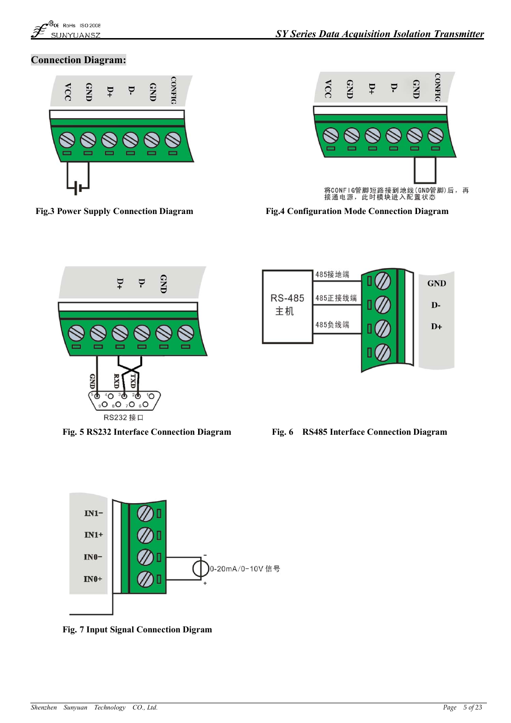

### **Connection Diagram:**





**Fig.3 Power Supply Connection Diagram Fig.4 Configuration Mode Connection Diagram**









**Fig. 7 Input Signal Connection Digram**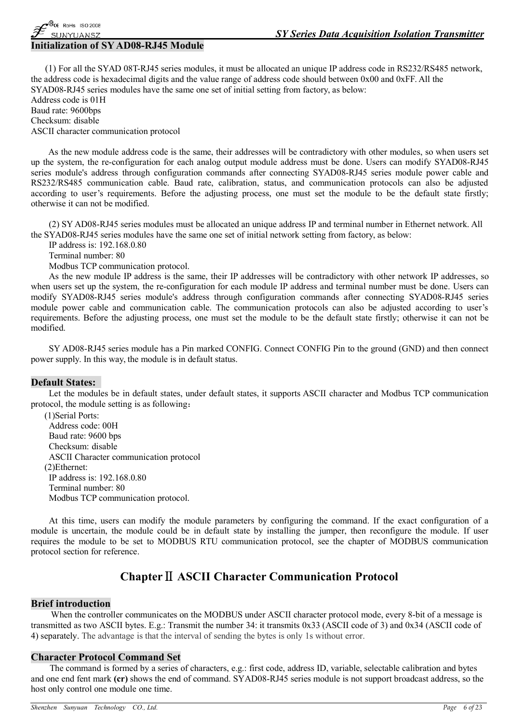### **Initialization of SYAD08-RJ45 Module**

 $\mathcal{B}_{\mathsf{CE}}$  RoHs ISO 2008 SUNYUANSZ

(1) For all the SYAD 08T-RJ45 series modules, it must be allocated an unique IP address code in RS232/RS485 network, the address code is hexadecimal digits and the value range of address code should between 0x00 and 0xFF. All the SYAD08-RJ45 series modules have the same one set of initial setting from factory, as below: Address code is 01H Baud rate: 9600bps Checksum: disable ASCII character communication protocol

As the new module address code is the same, their addresses will be contradictory with other modules, so when users set up the system, the re-configuration for each analog output module address must be done. Users can modify SYAD08-RJ45 series module's address through configuration commands after connecting SYAD08-RJ45 series module power cable and RS232/RS485 communication cable. Baud rate, calibration, status, and communication protocols can also be adjusted according to user's requirements. Before the adjusting process, one must set the module to be the default state firstly; otherwise it can not be modified.

(2) SY AD08-RJ45 series modules must be allocated an unique address IP and terminal number in Ethernet network. All the SYAD08-RJ45 series modules have the same one set of initial network setting from factory, as below:

IP address is: 192.168.0.80

Terminal number: 80

Modbus TCP communication protocol.

As the new module IP address is the same, their IP addresses will be contradictory with other network IP addresses, so when users set up the system, the re-configuration for each module IP address and terminal number must be done. Users can modify SYAD08-RJ45 series module's address through configuration commands after connecting SYAD08-RJ45 series module power cable and communication cable. The communication protocols can also be adjusted according to user's requirements. Before the adjusting process, one must set the module to be the default state firstly; otherwise it can not be modified.

SY AD08-RJ45 series module has a Pin marked CONFIG. Connect CONFIG Pin to the ground (GND) and then connect power supply. In this way, the module is in default status.

### **Default States:**

Let the modules be in default states, under default states, it supports ASCII character and Modbus TCP communication protocol, the module setting is as following:

(1)Serial Ports: Address code: 00H Baud rate: 9600 bps Checksum: disable ASCII Character communication protocol (2)Ethernet: IP address is: 192.168.0.80 Terminal number: 80 Modbus TCP communication protocol.

At this time, users can modify the module parameters by configuring the command. If the exact configuration of a module is uncertain, the module could be in default state by installing the jumper, then reconfigure the module. If user requires the module to be set to MODBUS RTU communication protocol, see the chapter of MODBUS communication protocol section for reference.

# **ChapterⅡ ASCII Character Communication Protocol**

### **Brief introduction**

When the controller communicates on the MODBUS under ASCII character protocol mode, every 8-bit of a message is transmitted as two ASCII bytes. E.g.: Transmit the number 34: it transmits 0x33 (ASCII code of 3) and 0x34 (ASCII code of 4) separately. The advantage is that the interval of sending the bytes is only 1s without error.

### **Character Protocol Command Set**

The command is formed by a series of characters, e.g.: first code, address ID, variable, selectable calibration and bytes and one end fent mark **(cr)** shows the end of command. SYAD08-RJ45 series module is not support broadcast address, so the host only control one module one time.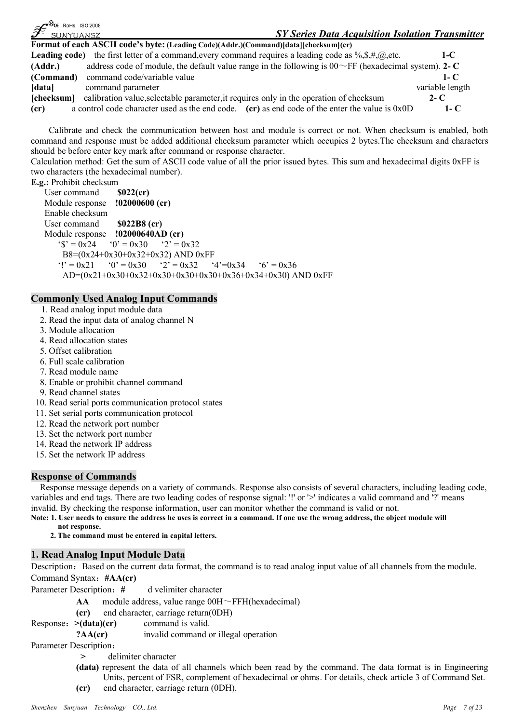| $\mathscr{F}^{\tiny \textsf{WCE-RoHs} \ \textsf{ISO} \ \textsf{2008}}$ | <b>SY Series Data Acquisition Isolation Transmitter</b><br>SUNYUANSZ                                                                 |                 |
|------------------------------------------------------------------------|--------------------------------------------------------------------------------------------------------------------------------------|-----------------|
|                                                                        | Format of each ASCII code's byte: (Leading Code)(Addr.)(Command)[data][checksum](cr)                                                 |                 |
|                                                                        | <b>Leading code)</b> the first letter of a command, every command requires a leading code as $\%, \sharp, \exists, \emptyset$ , etc. | $1-C$           |
| (Addr.)                                                                | address code of module, the default value range in the following is $00\degree$ FF (hexadecimal system). 2- C                        |                 |
| (Command)                                                              | command code/variable value                                                                                                          | $1 - C$         |
| [data]                                                                 | command parameter                                                                                                                    | variable length |
| [checksum]                                                             | calibration value, selectable parameter, it requires only in the operation of checksum                                               | $2 - C$         |
| (c <b>r</b> )                                                          | a control code character used as the end code. $(\mathbf{cr})$ as end code of the enter the value is 0x0D                            | 1- $\mathbf C$  |

Calibrate and check the communication between host and module is correct or not. When checksum is enabled, both command and response must be added additional checksum parameter which occupies 2 bytes.The checksum and characters should be before enter key mark after command or response character.

Calculation method: Get the sum of ASCII code value of all the prior issued bytes. This sum and hexadecimal digits 0xFF is two characters (the hexadecimal number).

**E.g.:** Prohibit checksum

 $\triangle$ 

User command **\$022(cr)**<br>Module response **!02000600 (cr) Module response** Enable checksum User command **\$022B8 (cr)** Module response **!02000640AD (cr)**  $\text{``$S'} = 0 \text{x} 24$   $\text{``0'} = 0 \text{x} 30$   $\text{``2'} = 0 \text{x} 32$ B8=(0x24+0x30+0x32+0x32) AND 0xFF '**!**' = 0x21 '0' = 0x30 '2' = 0x32 '4'=0x34 '6' = 0x36 AD=(0x21+0x30+0x32+0x30+0x30+0x30+0x36+0x34+0x30) AND 0xFF

### **Commonly Used Analog Input Commands**

- 1. Read analog input module data
- 2. Read the input data of analog channel N
- 3. Module allocation
- 4. Read allocation states
- 5. Offset calibration
- 6. Full scale calibration
- 7. Read module name
- 8. Enable or prohibit channel command
- 9. Read channel states
- 10. Read serial ports communication protocol states
- 11. Set serial ports communication protocol
- 12. Read the network port number
- 13. Set the network port number
- 14. Read the network IP address
- 15. Set the network IP address

### **Response of Commands**

Response message depends on a variety of commands. Response also consists of several characters, including leading code, variables and end tags. There are two leading codes of response signal: '!' or '>' indicates a valid command and '?' means invalid. By checking the response information, user can monitor whether the command is valid or not.

Note: 1. User needs to ensure the address he uses is correct in a command. If one use the wrong address, the object module will **not response.**

**2. The command must be entered in capital letters.**

### **1. Read Analog Input Module Data**

Description: Based on the current data format, the command is to read analog input value of all channels from the module. Command Syntax:**#AA(cr)**

Parameter Description: # d velimiter character

- AA module address, value range 00H~FFH(hexadecimal)
- **(cr)** end character, carriage return(0DH)

Response:**>(data)(cr)** command is valid.

**?AA(cr)** invalid command or illegal operation

Parameter Description:

- **>** delimiter character
- **(data)** represent the data of all channels which been read by the command. The data format is in Engineering Units, percent of FSR, complement of hexadecimal or ohms. For details, check article 3 of Command Set. **(cr)** end character, carriage return (0DH).
- *Shenzhen Sunyuan Technology CO., Ltd. Page 7 of 23*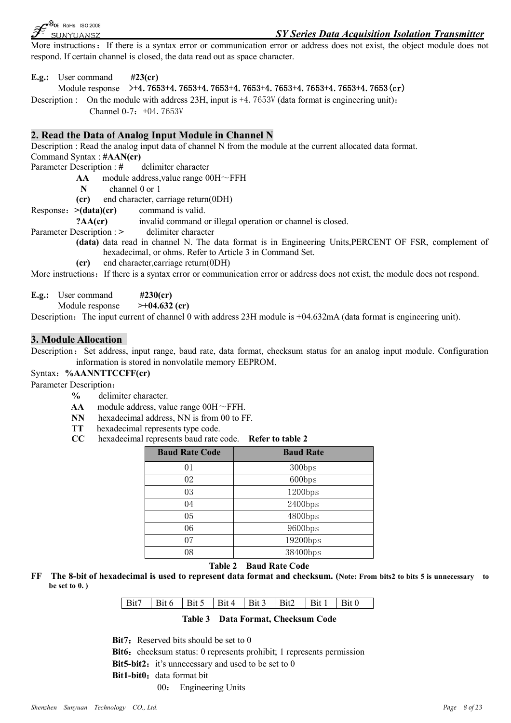

### *SY Series Data Acquisition Isolation Transmitter*

More instructions: If there is a syntax error or communication error or address does not exist, the object module does not respond. If certain channel is closed, the data read out as space character.

**E.g.:** User command **#23(cr)**

### Module response **>+4.7653+4.7653+4.7653+4.7653+4.7653+4.7653+4.7653+4.7653(cr)**

Description : On the module with address  $23H$ , input is  $+4$ ,  $7653V$  (data format is engineering unit): Channel  $0-7: +04.7653V$ 

### **2. Read the Data of Analog Input Module in Channel N**

Description : Read the analog input data of channel N from the module at the current allocated data format. Command Syntax : **#AAN(cr)**

Parameter Description : # delimiter character

**AA** module address,value range 00H~FFH

**N** channel 0 or 1

**(cr)** end character, carriage return(0DH)

Response:**>(data)(cr)** command is valid.

**?AA(cr)** invalid command or illegal operation or channel is closed.

Parameter Description : > delimiter character

**(data)** data read in channel N. The data format is in Engineering Units,PERCENT OF FSR, complement of hexadecimal, or ohms. Refer to Article 3 in Command Set.

**(cr)** end character,carriage return(0DH)

More instructions: If there is a syntax error or communication error or address does not exist, the module does not respond.

**E.g.:** User command **#230(cr)**

Module response **>+04.632 (cr)**

Description: The input current of channel 0 with address 23H module is +04.632mA (data format is engineering unit).

### **3. Module Allocation**

Description: Set address, input range, baud rate, data format, checksum status for an analog input module. Configuration information is stored in nonvolatile memory EEPROM.

### Syntax:**%AANNTTCCFF(cr)**

Parameter Description:

- **%** delimiter character.
- **AA** module address, value range 00H~FFH.
- **NN** hexadecimal address, NN is from 00 to FF.<br>**TT** hexadecimal represents type code.
- hexadecimal represents type code.
- **CC** hexadecimal represents baud rate code. **Refer to table 2**

| <b>Baud Rate Code</b> | <b>Baud Rate</b> |
|-----------------------|------------------|
| 01                    | 300bps           |
| 02                    | 600bps           |
| 03                    | 1200bps          |
| 04                    | $2400$ bps       |
| 05                    | 4800bps          |
| 06                    | 9600bps          |
| 07                    | 19200bps         |
| 08                    | 38400bps         |

#### **Table 2 Baud Rate Code**

FF The 8-bit of hexadecimal is used to represent data format and checksum. (Note: From bits2 to bits 5 is unnecessary to **be set to 0. )**

### **Table 3 Data Format, Checksum Code**

**Bit7**: Reserved bits should be set to 0

**Bit6:** checksum status: 0 represents prohibit; 1 represents permission **Bit5-bit2:** it's unnecessary and used to be set to 0 **Bit1-bit0:** data format bit 00: Engineering Units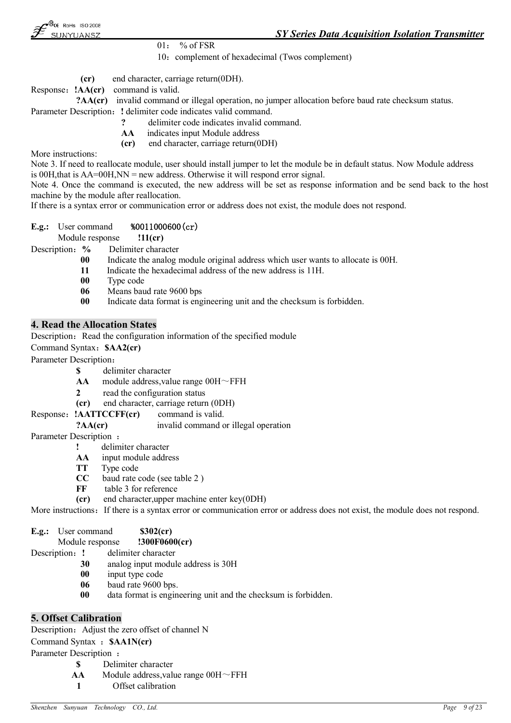$01: %$  % of FSR

10: complement of hexadecimal (Twos complement)

**(cr)** end character, carriage return(0DH).

Response:**!AA(cr)** command is valid.

**?AA(cr)** invalid command or illegal operation, no jumper allocation before baud rate checksum status. Parameter Description: ! delimiter code indicates valid command.

- **?** delimiter code indicates invalid command.
- **AA** indicates input Module address
- **(cr)** end character, carriage return(0DH)

More instructions:

Note 3. If need to reallocate module, user should install jumper to let the module be in default status. Now Module address is 00H,that is AA=00H,NN = new address. Otherwise it will respond error signal.

Note 4. Once the command is executed, the new address will be set as response information and be send back to the host machine by the module after reallocation.

If there is a syntax error or communication error or address does not exist, the module does not respond.

### **E.g.:** User command **%0011000600(cr)**

Module response **!11(cr)**

Description:**%** Delimiter character

- **00** Indicate the analog module original address which user wants to allocate is 00H.
- **11** Indicate the hexadecimal address of the new address is 11H.
- **00** Type code
- **06** Means baud rate 9600 bps
- **00** Indicate data format is engineering unit and the checksum is forbidden.

### **4. Read the Allocation States**

Description: Read the configuration information of the specified module

Command Syntax:**\$AA2(cr)**

Parameter Description:

- **\$** delimiter character
- $AA$  module address, value range  $00H \sim FFH$
- **2** read the configuration status
- **(cr)** end character, carriage return (0DH)
- Response: **!AATTCCFF(cr)** command is valid.

**?AA(cr)** invalid command or illegal operation

Parameter Description :

- **!** delimiter character
- **AA** input module address
- **TT** Type code
- **CC** baud rate code (see table 2 )
- **FF** table 3 for reference
- **(cr)** end character,upper machine enter key(0DH)

More instructions: If there is a syntax error or communication error or address does not exist, the module does not respond.

| E.g.: | User command | \$302(cr) |
|-------|--------------|-----------|
|-------|--------------|-----------|

Module response **!300F0600(cr)**

- Description:**!** delimiter character
	- **30** analog input module address is 30H
	- **00** input type code
	- **06** baud rate 9600 bps.
	- **00** data format is engineering unit and the checksum is forbidden.

### **5. Offset Calibration**

Description: Adjust the zero offset of channel N Command Syntax :**\$AA1N(cr)**

Parameter Description :

- **\$** Delimiter character
- AA Module address, value range 00H $\sim$ FFH
- **1** Offset calibration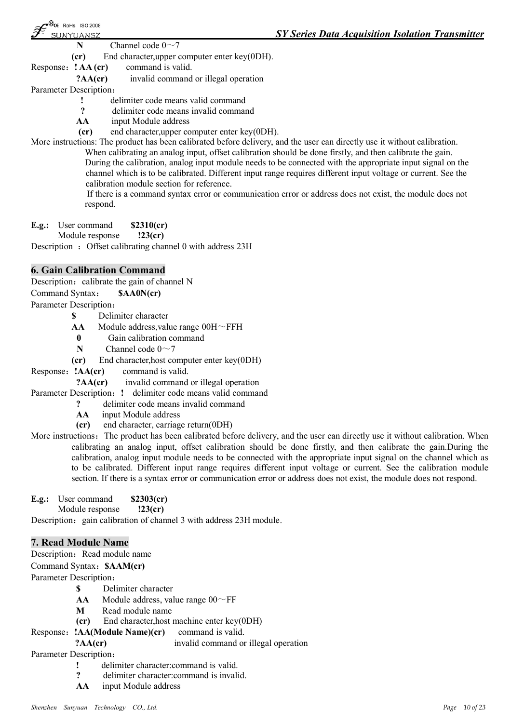**N** Channel code  $0 \sim 7$ 

**(cr)** End character,upper computer enter key(0DH).

Response:**! AA (cr)** command is valid.

- **?AA(cr)** invalid command or illegal operation
- Parameter Description:
	- **!** delimiter code means valid command
	- **?** delimiter code means invalid command
	- **AA** input Module address
	- **(cr)** end character,upper computer enter key(0DH).

More instructions: The product has been calibrated before delivery, and the user can directly use it without calibration. When calibrating an analog input, offset calibration should be done firstly, and then calibrate the gain.

During the calibration, analog input module needs to be connected with the appropriate input signal on the channel which is to be calibrated. Different input range requires different input voltage or current. See the calibration module section for reference.

If there is a command syntax error or communication error or address does not exist, the module does not respond.

**E.g.:** User command **\$2310(cr)**

Module response **!23(cr)**

Description : Offset calibrating channel 0 with address 23H

### **6. Gain Calibration Command**

Description: calibrate the gain of channel N

Command Syntax: **\$AA0N(cr)**

Parameter Description:

- **\$** Delimiter character
- AA Module address, value range 00H~FFH
- **0** Gain calibration command
- **N** Channel code  $0 \sim 7$
- **(cr)** End character,host computer enter key(0DH)
- Response: **!AA(cr)** command is valid.

**?AA(cr)** invalid command or illegal operation

Parameter Description: ! delimiter code means valid command

- **?** delimiter code means invalid command
- **AA** input Module address
- **(cr)** end character, carriage return(0DH)
- More instructions: The product has been calibrated before delivery, and the user can directly use it without calibration. When calibrating an analog input, offset calibration should be done firstly, and then calibrate the gain.During the calibration, analog input module needs to be connected with the appropriate input signal on the channel which as to be calibrated. Different input range requires different input voltage or current. See the calibration module section. If there is a syntax error or communication error or address does not exist, the module does not respond.
- **E.g.:** User command **\$2303(cr)**

Module response **!23(cr)**

Description: gain calibration of channel 3 with address 23H module.

### **7. Read Module Name**

Description: Read module name

Command Syntax:**\$AAM(cr)**

Parameter Description:

- **\$** Delimiter character
- **AA** Module address, value range  $00 \sim FF$
- **M** Read module name
- **(cr)** End character,host machine enter key(0DH)

Response:**!AA(Module Name)(cr)** command is valid.

**?AA(cr)** invalid command or illegal operation

Parameter Description:

- **!** delimiter character:command is valid.
- **?** delimiter character:command is invalid.
- **AA** input Module address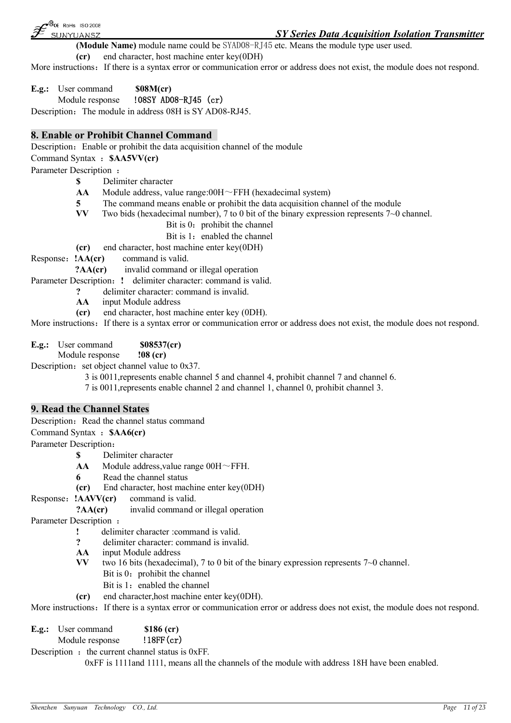B<sub>CE</sub> RoHs ISO 2008 SUNYUANSZ

**(Module Name)** module name could be SYAD08-RJ45 etc. Means the module type user used.

**(cr)** end character, host machine enter key(0DH)

More instructions: If there is a syntax error or communication error or address does not exist, the module does not respond.

**E.g.:** User command **\$08M(cr)** Module response **!08SY AD08-RJ45 (cr)**

Description: The module in address 08H is SY AD08-RJ45.

### **8. Enable or Prohibit Channel Command**

Description: Enable or prohibit the data acquisition channel of the module

Command Syntax :**\$AA5VV(cr)**

Parameter Description :

**\$** Delimiter character

AA Module address, value range:00H~FFH (hexadecimal system)

- **5** The command means enable or prohibit the data acquisition channel of the module **VV** Two bids (hexadecimal number), 7 to 0 bit of the binary expression represents  $7\neg$  0 or
- Two bids (hexadecimal number), 7 to 0 bit of the binary expression represents 7~0 channel.
	- Bit is  $0:$  prohibit the channel

Bit is 1: enabled the channel

**(cr)** end character, host machine enter key(0DH)

Response:**!AA(cr)** command is valid.

**?AA(cr)** invalid command or illegal operation

Parameter Description: ! delimiter character: command is valid.

- **?** delimiter character: command is invalid.
- **AA** input Module address
- **(cr)** end character, host machine enter key (0DH).

More instructions: If there is a syntax error or communication error or address does not exist, the module does not respond.

**E.g.:** User command **\$08537(cr)**

Module response **!08 (cr)**

Description: set object channel value to  $0x37$ .

3 is 0011,represents enable channel 5 and channel 4, prohibit channel 7 and channel 6.

7 is 0011,represents enable channel 2 and channel 1, channel 0, prohibit channel 3.

### **9. Read the Channel States**

Description: Read the channel status command

Command Syntax :**\$AA6(cr)**

Parameter Description:

- **\$** Delimiter character
- **AA** Module address,value range 00H~FFH.
- **6** Read the channel status
- **(cr)** End character, host machine enter key(0DH)
- Response:**!AAVV(cr)** command is valid.

**?AA(cr)** invalid command or illegal operation

Parameter Description :

- **!** delimiter character :command is valid.
- **?** delimiter character: command is invalid.
- **AA** input Module address
- **VV** two 16 bits (hexadecimal), 7 to 0 bit of the binary expression represents 7~0 channel.
	- Bit is  $0:$  prohibit the channel
	- Bit is 1: enabled the channel
- **(cr)** end character,host machine enter key(0DH).

More instructions: If there is a syntax error or communication error or address does not exist, the module does not respond.

**E.g.:** User command **\$186 (cr)** Module response **!18FF(cr)**

Description  $:$  the current channel status is 0xFF.

0xFF is 1111and 1111, means all the channels of the module with address 18H have been enabled.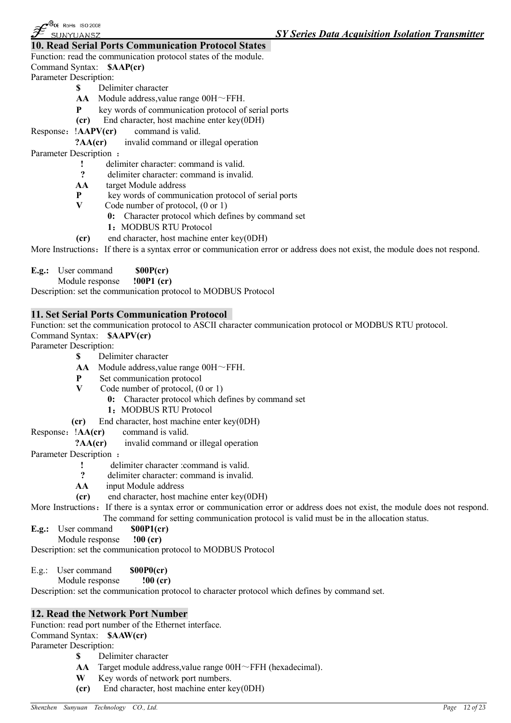### **10. Read Serial Ports Communication Protocol States**

Function: read the communication protocol states of the module.

Command Syntax: **\$AAP(cr)**

Parameter Description:

- **\$** Delimiter character
- **AA** Module address,value range 00H~FFH.
- **P** key words of communication protocol of serial ports
- **(cr)** End character, host machine enter key(0DH)
- Response: **!AAPV(cr)** command is valid.
	- **?AA(cr)** invalid command or illegal operation

Parameter Description :

- **!** delimiter character: command is valid.<br>**?** delimiter character: command is invalid
- **?** delimiter character: command is invalid.
- **AA** target Module address
- **P** key words of communication protocol of serial ports<br>
V Code number of protocol (0 or 1)
- Code number of protocol,  $(0 \text{ or } 1)$ 
	- **0:** Character protocol which defines by command set
	- 1**:** MODBUS RTU Protocol
- **(cr)** end character, host machine enter key(0DH)

More Instructions: If there is a syntax error or communication error or address does not exist, the module does not respond.

**E.g.:** User command **\$00P(cr)**

Module response **!00P1 (cr)**

Description: set the communication protocol to MODBUS Protocol

### **11. Set Serial Ports Communication Protocol**

Function: set the communication protocol to ASCII character communication protocol or MODBUS RTU protocol. Command Syntax: **\$AAPV(cr)**

Parameter Description:

- **\$** Delimiter character
- **AA** Module address,value range 00H~FFH.
- **P** Set communication protocol
- **V** Code number of protocol, (0 or 1)
	- **0:** Character protocol which defines by command set
	- **1:**MODBUS RTU Protocol
- **(cr)** End character, host machine enter key(0DH)
- Response: **!AA(cr)** command is valid.
	- **?AA(cr)** invalid command or illegal operation
- Parameter Description :
	- **!** delimiter character :command is valid.<br>**?** delimiter character :command is invalid
	- **?** delimiter character: command is invalid.
	- **AA** input Module address
	- **(cr)** end character, host machine enter key(0DH)

More Instructions: If there is a syntax error or communication error or address does not exist, the module does not respond. The command for setting communication protocol is valid must be in the allocation status.

- **E.g.:** User command **\$00P1(cr)**
- Module response **!00 (cr)**

Description: set the communication protocol to MODBUS Protocol

E.g.: User command **\$00P0(cr)** Module response **!00 (cr)**

Description: set the communication protocol to character protocol which defines by command set.

### **12. Read the Network Port Number**

Function: read port number of the Ethernet interface.

Command Syntax: **\$AAW(cr)**

Parameter Description:

- **\$** Delimiter character
- **AA** Target module address,value range 00H~FFH (hexadecimal).
- **W** Key words of network port numbers.
- **(cr)** End character, host machine enter key(0DH)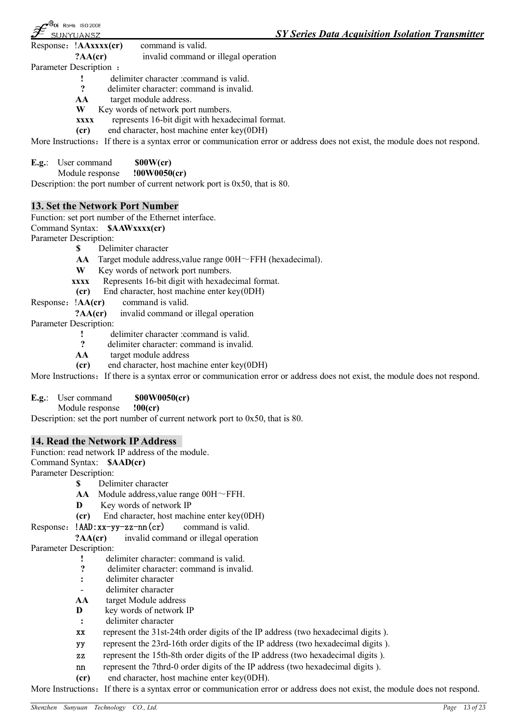| $\bullet$ <sup>®</sup> $\epsilon$ RoHs ISO 2008<br>$\widehat{\mathscr{F}}$<br>SUNYUANSZ |                     |                                          | <b>SY Series Data Acquisition Isolation Transmitter</b> |
|-----------------------------------------------------------------------------------------|---------------------|------------------------------------------|---------------------------------------------------------|
| Response: !AAxxxx(cr)                                                                   |                     | command is valid.                        |                                                         |
|                                                                                         | $?AA$ (cr)          | invalid command or illegal operation     |                                                         |
| Parameter Description :                                                                 |                     |                                          |                                                         |
|                                                                                         |                     | delimiter character : command is valid.  |                                                         |
|                                                                                         | $\boldsymbol{\eta}$ | delimiter character: command is invalid. |                                                         |

- AA target module address.<br>W Key words of network por
- Key words of network port numbers.
- **xxxx** represents 16-bit digit with hexadecimal format.
- **(cr)** end character, host machine enter key(0DH)

More Instructions: If there is a syntax error or communication error or address does not exist, the module does not respond.

- **E.g.:** User command **\$00W(cr)** 
	- Module response **!00W0050(cr)**

Description: the port number of current network port is 0x50, that is 80.

### **13. Set the Network Port Number**

Function: set port number of the Ethernet interface.

Command Syntax: **\$AAWxxxx(cr)**

Parameter Description:

- **\$** Delimiter character
- **AA** Target module address,value range 00H~FFH (hexadecimal).
- **W** Key words of network port numbers.
- **xxxx** Represents 16-bit digit with hexadecimal format.
- **(cr)** End character, host machine enter key(0DH)
- Response: **!AA(cr)** command is valid.
	- **?AA(cr)** invalid command or illegal operation
- Parameter Description:
	- **!** delimiter character :command is valid.<br>**?** delimiter character :command is invalid
	- **?** delimiter character: command is invalid.
	- **AA** target module address
	- **(cr)** end character, host machine enter key(0DH)

More Instructions: If there is a syntax error or communication error or address does not exist, the module does not respond.

### **E.g.**: User command **\$00W0050(cr)**

Module response **!00(cr)**

Description: set the port number of current network port to 0x50, that is 80.

### **14. Read the Network IP Address**

Function: read network IP address of the module.

Command Syntax: **\$AAD(cr)**

Parameter Description:

- **\$** Delimiter character
- **AA** Module address,value range 00H~FFH.
- **D** Key words of network IP
- **(cr)** End character, host machine enter key(0DH)

### Response: **!AAD:xx-yy-zz-nn(cr)** command is valid.

**?AA(cr)** invalid command or illegal operation

Parameter Description:

- **!** delimiter character: command is valid.<br> **2** delimiter character: command is invalid
- **?** delimiter character: command is invalid.
- **:** delimiter character
- delimiter character
- **AA** target Module address
- **D** key words of network IP
- **:** delimiter character
- **xx** represent the 31st-24th order digits of the IP address (two hexadecimal digits ).
- **yy** represent the 23rd-16th order digits of the IP address (two hexadecimal digits ).
- **zz** represent the 15th-8th order digits of the IP address (two hexadecimal digits ).
- **nn** represent the 7thrd-0 order digits of the IP address (two hexadecimal digits ).
- **(cr)** end character, host machine enter key(0DH).

More Instructions: If there is a syntax error or communication error or address does not exist, the module does not respond.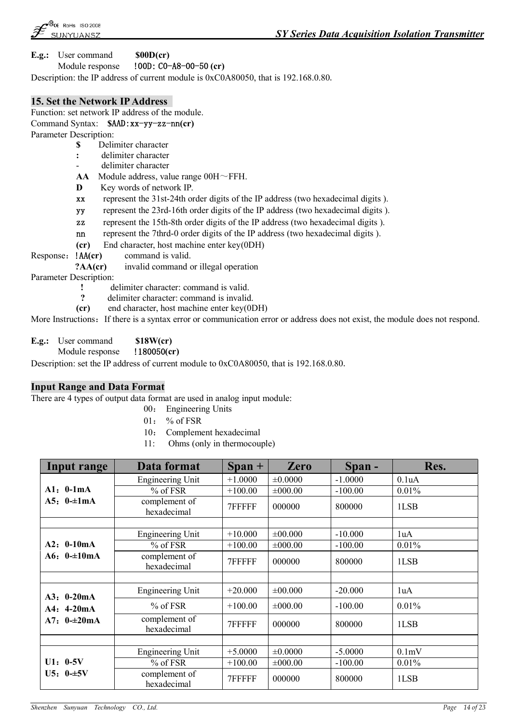**E.g.:** User command **\$00D(cr)**

Module response **!00D: C0-A8-00-50 (cr)**

Description: the IP address of current module is 0xC0A80050, that is 192.168.0.80.

### **15. Set the Network IP Address**

Function: set network IP address of the module. Command Syntax: **\$AAD:xx-yy-zz-nn(cr)**

Parameter Description:

- **\$** Delimiter character
- **:** delimiter character
- delimiter character
- **AA** Module address, value range 00H~FFH.
- **D** Key words of network IP.
- **xx** represent the 31st-24th order digits of the IP address (two hexadecimal digits ).
- **yy** represent the 23rd-16th order digits of the IP address (two hexadecimal digits ).
- **zz** represent the 15th-8th order digits of the IP address (two hexadecimal digits ).
- **nn** represent the 7thrd-0 order digits of the IP address (two hexadecimal digits ).
- **(cr)** End character, host machine enter key(0DH)
- Response:**!AA(cr)** command is valid.

**?AA(cr)** invalid command or illegal operation

Parameter Description:

- **!** delimiter character: command is valid.<br> **P** delimiter character: command is invalid
- **?** delimiter character: command is invalid.
- **(cr)** end character, host machine enter key(0DH)

More Instructions: If there is a syntax error or communication error or address does not exist, the module does not respond.

- **E.g.:** User command **\$18W(cr)**
	- Module response **!180050(cr)**

Description: set the IP address of current module to 0xC0A80050, that is 192.168.0.80.

### **Input Range and Data Format**

There are 4 types of output data format are used in analog input module:

- 00: Engineering Units
- $01:$  % of FSR
- 10: Complement hexadecimal
- 11: Ohms (only in thermocouple)

| Input range  | Data format                  | $Span +$  | <b>Zero</b>  | Span-     | Res.               |
|--------------|------------------------------|-----------|--------------|-----------|--------------------|
|              | <b>Engineering Unit</b>      | $+1.0000$ | ±0.0000      | $-1.0000$ | 0.1 <sub>u</sub> A |
| $A1: 0-1mA$  | % of FSR                     | $+100.00$ | ±000.00      | $-100.00$ | 0.01%              |
| A5: $0-1mA$  | complement of<br>hexadecimal | 7FFFFF    | 000000       | 800000    | 1LSB               |
|              |                              |           |              |           |                    |
|              | Engineering Unit             | $+10.000$ | $\pm 00.000$ | $-10.000$ | 1uA                |
| $A2: 0-10mA$ | % of FSR                     | $+100.00$ | ±000.00      | $-100.00$ | 0.01%              |
| A6: $0=10mA$ | complement of<br>hexadecimal | 7FFFFF    | 000000       | 800000    | 1LSB               |
|              |                              |           |              |           |                    |
| $A3: 0-20mA$ | <b>Engineering Unit</b>      | $+20.000$ | $\pm 00.000$ | $-20.000$ | 1uA                |
| $A4: 4-20mA$ | $%$ of FSR                   | $+100.00$ | ±000.00      | $-100.00$ | 0.01%              |
| $A7: 0=20mA$ | complement of<br>hexadecimal | 7FFFFF    | 000000       | 800000    | 1LSB               |
|              |                              |           |              |           |                    |
|              | <b>Engineering Unit</b>      | $+5.0000$ | $\pm 0.0000$ | $-5.0000$ | $0.1$ m $V$        |
| $U1: 0-5V$   | % of FSR                     | $+100.00$ | $\pm 000.00$ | $-100.00$ | 0.01%              |
| $U5: 0-15V$  | complement of<br>hexadecimal | 7FFFFF    | 000000       | 800000    | 1LSB               |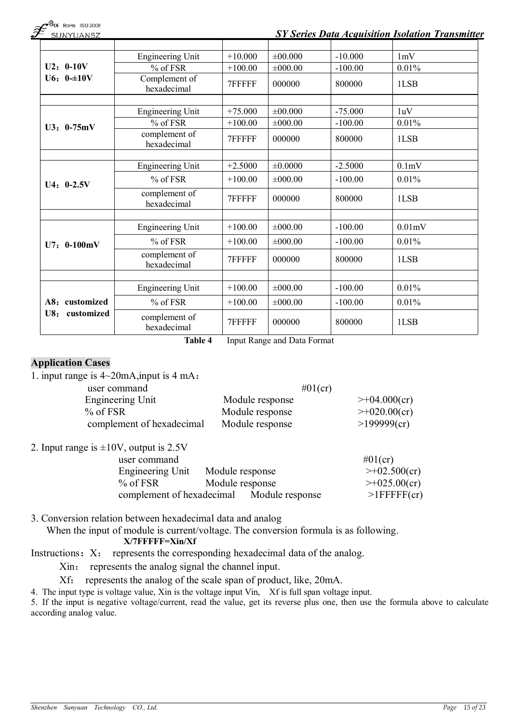|  | $\mathcal{F}^{\tiny{\textcircled{\tiny{R}}}}$ slinyliansz |  |
|--|-----------------------------------------------------------|--|
|  |                                                           |  |

### **JNYUANSZ**

## *SY Series Data Acquisition Isolation Transmitter*

|                   | <b>Engineering Unit</b>         | $+10.000$ | $\pm 00.000$ | $-10.000$ | 1mV    |
|-------------------|---------------------------------|-----------|--------------|-----------|--------|
| $U2: 0-10V$       | $\overline{\frac{9}{6}}$ of FSR | $+100.00$ | ±000.00      | $-100.00$ | 0.01%  |
| $U6: 0=10V$       | Complement of<br>hexadecimal    | 7FFFFF    | 000000       | 800000    | 1LSB   |
|                   |                                 |           |              |           |        |
|                   | <b>Engineering Unit</b>         | $+75.000$ | ±00.000      | $-75.000$ | 1uV    |
| $U3: 0-75mV$      | % of FSR                        | $+100.00$ | ±000.00      | $-100.00$ | 0.01%  |
|                   | complement of<br>hexadecimal    | 7FFFFF    | 000000       | 800000    | 1LSB   |
|                   |                                 |           |              |           |        |
|                   | <b>Engineering Unit</b>         | $+2.5000$ | ±0.0000      | $-2.5000$ | 0.1mV  |
| $U4: 0-2.5V$      | $%$ of FSR                      | $+100.00$ | ±000.00      | $-100.00$ | 0.01%  |
|                   | complement of<br>hexadecimal    | 7FFFFF    | 000000       | 800000    | 1LSB   |
|                   |                                 |           |              |           |        |
|                   | <b>Engineering Unit</b>         | $+100.00$ | $\pm 000.00$ | $-100.00$ | 0.01mV |
| $U7: 0-100mV$     | % of FSR                        | $+100.00$ | $\pm 000.00$ | $-100.00$ | 0.01%  |
|                   | complement of<br>hexadecimal    | 7FFFFF    | 000000       | 800000    | 1LSB   |
|                   |                                 |           |              |           |        |
|                   | <b>Engineering Unit</b>         | $+100.00$ | $\pm 000.00$ | $-100.00$ | 0.01%  |
| A8: customized    | % of FSR                        | $+100.00$ | ±000.00      | $-100.00$ | 0.01%  |
| U8:<br>customized | complement of<br>hexadecimal    | 7FFFFF    | 000000       | 800000    | 1LSB   |

**Table 4** Input Range and Data Format

### **Application Cases**

| 1. input range is $4\sim 20$ mA, input is 4 mA: |                 |                     |
|-------------------------------------------------|-----------------|---------------------|
| user command                                    | $#01$ (cr)      |                     |
| Engineering Unit                                | Module response | $\geq +04.000$ (cr) |
| $%$ of FSR                                      | Module response | $\geq +020.00$ (cr) |
| complement of hexadecimal                       | Module response | >199999(cr)         |
| $2$ Input range is $\pm 10V$ output is $25V$    |                 |                     |

2. Input range is  $\pm 10V$ , output is 2.5V

| $. 7.5$ $. 0.00$ $. 0.00$ $. 0.00$ $. 0.00$ |                 |                     |
|---------------------------------------------|-----------------|---------------------|
| user command                                |                 | $\#01$ (cr)         |
| Engineering Unit                            | Module response | $\geq +02.500$ (cr) |
| $%$ of FSR                                  | Module response | $\geq +025.00$ (cr) |
| complement of hexadecimal                   | Module response | $>1$ FFFFF $(cr)$   |

3. Conversion relation between hexadecimal data and analog

When the input of module is current/voltage. The conversion formula is as following. **X/7FFFFF=Xin/Xf**

Instructions: X: represents the corresponding hexadecimal data of the analog.

Xin: represents the analog signal the channel input.

Xf: represents the analog of the scale span of product, like, 20mA.

4. The input type is voltage value, Xin is the voltage input Vin, Xf is full span voltage input.

5. If the input is negative voltage/current, read the value, get its reverse plus one, then use the formula above to calculate according analog value.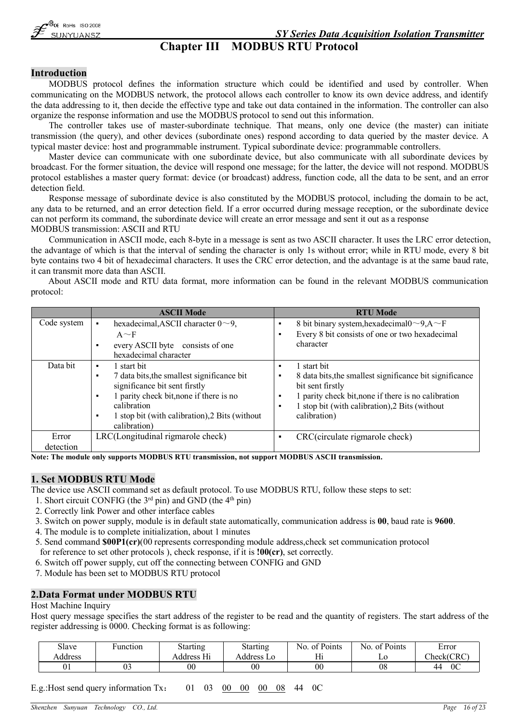# **Chapter III MODBUS RTU Protocol**

### **Introduction**

MODBUS protocol defines the information structure which could be identified and used by controller. When communicating on the MODBUS network, the protocol allows each controller to know its own device address, and identify the data addressing to it, then decide the effective type and take out data contained in the information. The controller can also organize the response information and use the MODBUS protocol to send out this information.

The controller takes use of master-subordinate technique. That means, only one device (the master) can initiate transmission (the query), and other devices (subordinate ones) respond according to data queried by the master device. A typical master device: host and programmable instrument. Typical subordinate device: programmable controllers.

Master device can communicate with one subordinate device, but also communicate with all subordinate devices by broadcast. For the former situation, the device will respond one message; for the latter, the device will not respond. MODBUS protocol establishes a master query format: device (or broadcast) address, function code, all the data to be sent, and an error detection field.

Response message of subordinate device is also constituted by the MODBUS protocol, including the domain to be act, any data to be returned, and an error detection field. If a error occurred during message reception, or the subordinate device can not perform its command, the subordinate device will create an error message and sent it out as a response MODBUS transmission: ASCII and RTU

Communication in ASCII mode, each 8-byte in a message is sent as two ASCII character. It uses the LRC error detection, the advantage of which is that the interval of sending the character is only 1s without error; while in RTU mode, every 8 bit byte contains two 4 bit of hexadecimal characters. It uses the CRC error detection, and the advantage is at the same baud rate, it can transmit more data than ASCII.

About ASCII mode and RTU data format, more information can be found in the relevant MODBUS communication protocol:

|             | <b>ASCII Mode</b>                                                                                                                                                                                         | <b>RTU Mode</b>                                                                                                                                                                                                                                            |
|-------------|-----------------------------------------------------------------------------------------------------------------------------------------------------------------------------------------------------------|------------------------------------------------------------------------------------------------------------------------------------------------------------------------------------------------------------------------------------------------------------|
| Code system | hexadecimal, ASCII character $0 \sim 9$ ,                                                                                                                                                                 | 8 bit binary system, hexadecimal0~9, A~F<br>$\blacksquare$                                                                                                                                                                                                 |
|             | $A \sim F$                                                                                                                                                                                                | Every 8 bit consists of one or two hexadecimal<br>$\blacksquare$                                                                                                                                                                                           |
|             | every ASCII byte consists of one<br>hexadecimal character                                                                                                                                                 | character                                                                                                                                                                                                                                                  |
| Data bit    | 1 start bit<br>$\blacksquare$                                                                                                                                                                             | 1 start bit<br>$\blacksquare$                                                                                                                                                                                                                              |
|             | 7 data bits, the smallest significance bit<br>significance bit sent firstly<br>1 parity check bit, none if there is no<br>calibration<br>1 stop bit (with calibration), 2 Bits (without<br>$\blacksquare$ | 8 data bits, the smallest significance bit significance<br>$\blacksquare$<br>bit sent firstly<br>1 parity check bit, none if there is no calibration<br>$\blacksquare$<br>1 stop bit (with calibration), 2 Bits (without<br>$\blacksquare$<br>calibration) |
|             | calibration)                                                                                                                                                                                              |                                                                                                                                                                                                                                                            |
| Error       | LRC(Longitudinal rigmarole check)                                                                                                                                                                         | CRC(circulate rigmarole check)<br>٠                                                                                                                                                                                                                        |
| detection   |                                                                                                                                                                                                           |                                                                                                                                                                                                                                                            |

**Note: The module only supports MODBUS RTU transmission, not support MODBUS ASCII transmission.**

### **1. Set MODBUS RTU Mode**

The device use ASCII command set as default protocol. To use MODBUS RTU, follow these steps to set:

- 1. Short circuit CONFIG (the  $3<sup>rd</sup>$  pin) and GND (the  $4<sup>th</sup>$  pin)
- 2. Correctly link Power and other interface cables
- 3. Switch on power supply, module is in default state automatically, communication address is **00**, baud rate is **9600**.
- 4. The module is to complete initialization, about 1 minutes
- 5. Send command **\$00P1(cr)**(00 represents corresponding module address,check set communication protocol for reference to set other protocols ), check response, if it is **!00(cr)**, set correctly.
- 6. Switch off power supply, cut off the connecting between CONFIG and GND
- 7. Module has been set to MODBUS RTU protocol

### **2.Data Format under MODBUS RTU**

#### Host Machine Inquiry

Host query message specifies the start address of the register to be read and the quantity of registers. The start address of the register addressing is 0000. Checking format is as following:

| Slave   | unction: | <b>Starting</b> | Starting      | N <sub>0</sub><br>of Points | of Points<br>NO. | Error      |
|---------|----------|-----------------|---------------|-----------------------------|------------------|------------|
| Address |          | Address Hi      | Address<br>LO | Hi                          | LU               | Check(CRC) |
| 01      |          | $00\,$          | $00\,$        | 00                          | 08               | 0C<br>44   |

E.g.:Host send query information Tx: 01 03 00 00 00 08 44 0C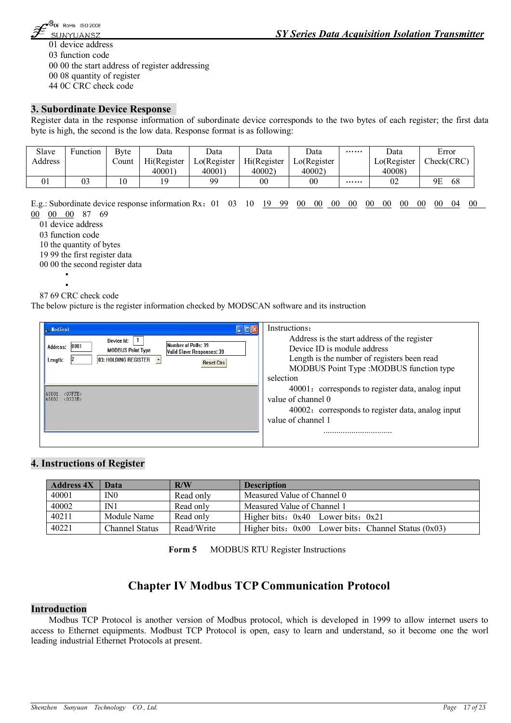

 device address function code 00 the start address of register addressing 08 quantity of register 0C CRC check code

### **3. Subordinate Device Response**

Register data in the response information of subordinate device corresponds to the two bytes of each register; the first data byte is high, the second is the low data. Response format is as following:

| Slave   | unction <sup>.</sup> | Bvte  | Data        | Data         | Data        | Data                                   | $\cdots\cdots\cdots$ | Data         | Error      |
|---------|----------------------|-------|-------------|--------------|-------------|----------------------------------------|----------------------|--------------|------------|
| Address |                      | ∠ount | Hi(Register | Lo(Register) | Hi(Register | $\text{LO}(\text{Register}^{\dagger})$ |                      | Lo(Register) | Check(CRC) |
|         |                      |       | 40001       | 40001)       | 40002)      | 40002)                                 |                      | 40008)       |            |
| UΙ      | 03                   | 10    | 19          | gg           | $00\,$      | $00\,$                                 |                      | 02           | 68<br>9Ε   |

E.g.: Subordinate device response information Rx:01 03 10 19 99 00 00 00 00 00 00 00 00 00 04 00 00 00 00 87 69

01 device address

03 function code

10 the quantity of bytes

19 99 the first register data

00 00 the second register data

▪ ▪

87 69 CRC check code

The below picture is the register information checked by MODSCAN software and its instruction

| $-$ LodScal                                                                                                                                                                   | Instructions:                                                                                                                                                                       |
|-------------------------------------------------------------------------------------------------------------------------------------------------------------------------------|-------------------------------------------------------------------------------------------------------------------------------------------------------------------------------------|
| Device Id:<br>Number of Polls: 39<br>0001<br>Address:<br><b>MODBUS Point Type</b><br><b>Valid Slave Responses: 39</b><br>03: HOLDING REGISTER<br>Length:<br><b>Reset Ctrs</b> | Address is the start address of the register<br>Device ID is module address<br>Length is the number of registers been read<br>MODBUS Point Type : MODBUS function type<br>selection |
| $\langle$ 07FFH><br>$ 40001\rangle$<br>40002: <0333H>                                                                                                                         | 40001: corresponds to register data, analog input<br>value of channel 0<br>40002: corresponds to register data, analog input<br>value of channel 1                                  |

### **4. Instructions of Register**

| <b>Address 4X</b> | Data                  | R/W        | <b>Description</b>                                      |
|-------------------|-----------------------|------------|---------------------------------------------------------|
| 40001             | IN <sub>0</sub>       | Read only  | Measured Value of Channel 0                             |
| 40002             | IN1                   | Read only  | Measured Value of Channel 1                             |
| 40211             | Module Name           | Read only  | Higher bits: $0x40$ Lower bits: $0x21$                  |
| 40221             | <b>Channel Status</b> | Read/Write | Higher bits: $0x00$ Lower bits: Channel Status $(0x03)$ |

**Form 5** MODBUS RTU Register Instructions

### **Chapter IV Modbus TCP Communication Protocol**

### **Introduction**

Modbus TCP Protocol is another version of Modbus protocol, which is developed in 1999 to allow internet users to access to Ethernet equipments. Modbust TCP Protocol is open, easy to learn and understand, so it become one the worl leading industrial Ethernet Protocols at present.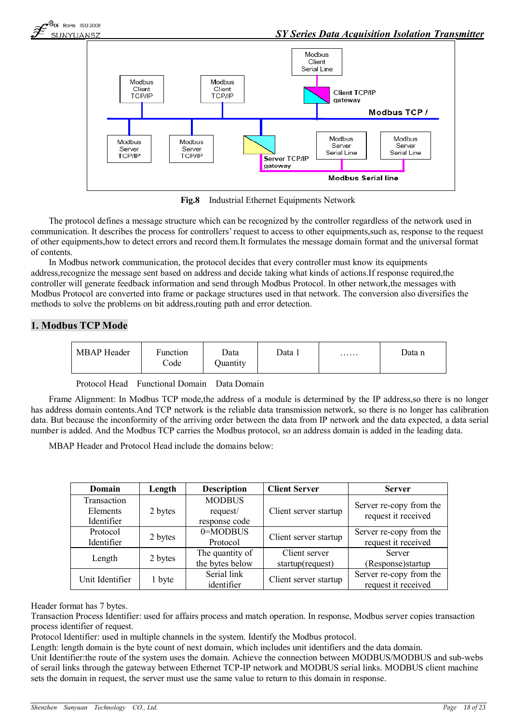

**Fig.8** Industrial Ethernet Equipments Network

The protocol defines a message structure which can be recognized by the controller regardless of the network used in communication. It describes the process for controllers' request to access to other equipments,such as, response to the request of other equipments,how to detect errors and record them.It formulates the message domain format and the universal format of contents.

In Modbus network communication, the protocol decides that every controller must know its equipments address,recognize the message sent based on address and decide taking what kinds of actions.If response required,the controller will generate feedback information and send through Modbus Protocol. In other network,the messages with Modbus Protocol are converted into frame or package structures used in that network. The conversion also diversifies the methods to solve the problems on bit address,routing path and error detection.

### **1. Modbus TCP Mode**

| <b>MBAP</b> Header | Function<br>Code | Data<br><b>Juantity</b> | Data 1 | . | Data n |
|--------------------|------------------|-------------------------|--------|---|--------|
|--------------------|------------------|-------------------------|--------|---|--------|

Protocol Head Functional Domain Data Domain

Frame Alignment: In Modbus TCP mode,the address of a module is determined by the IP address,so there is no longer has address domain contents.And TCP network is the reliable data transmission network, so there is no longer has calibration data. But because the inconformity of the arriving order between the data from IP network and the data expected, a data serial number is added. And the Modbus TCP carries the Modbus protocol, so an address domain is added in the leading data.

MBAP Header and Protocol Head include the domains below:

| Domain          | Length  | <b>Description</b> | <b>Client Server</b>  | <b>Server</b>           |
|-----------------|---------|--------------------|-----------------------|-------------------------|
| Transaction     |         | <b>MODBUS</b>      |                       | Server re-copy from the |
| Elements        | 2 bytes | request/           | Client server startup | request it received     |
| Identifier      |         | response code      |                       |                         |
| Protocol        |         | 0=MODBUS           |                       | Server re-copy from the |
| Identifier      | 2 bytes | Protocol           | Client server startup | request it received     |
|                 |         | The quantity of    | Client server         | Server                  |
| Length          | 2 bytes | the bytes below    | startup(request)      | (Response) startup      |
| Unit Identifier |         | Serial link        |                       | Server re-copy from the |
|                 | 1 byte  | identifier         | Client server startup | request it received     |

### Header format has 7 bytes.

Transaction Process Identifier: used for affairs process and match operation. In response, Modbus server copies transaction process identifier of request.

Protocol Identifier: used in multiple channels in the system. Identify the Modbus protocol.

Length: length domain is the byte count of next domain, which includes unit identifiers and the data domain.

Unit Identifier:the route of the system uses the domain. Achieve the connection between MODBUS/MODBUS and sub-webs of serail links through the gateway between Ethernet TCP-IP network and MODBUS serial links. MODBUS client machine sets the domain in request, the server must use the same value to return to this domain in response.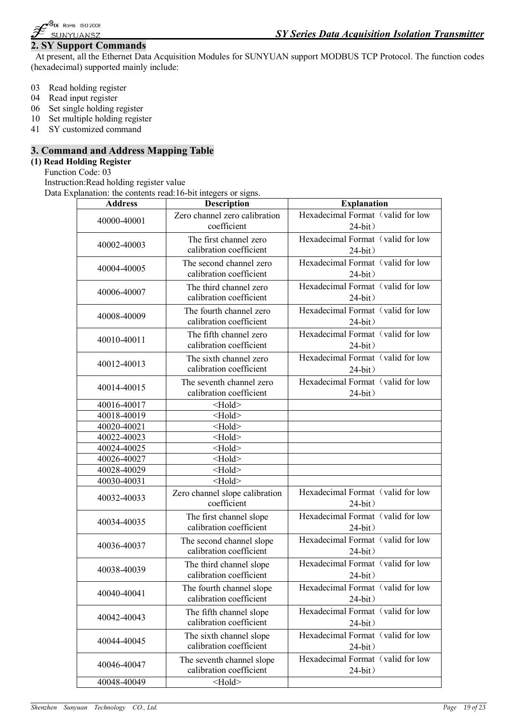

### **2. SY Support Commands**

At present, all the Ethernet Data Acquisition Modules for SUNYUAN support MODBUS TCP Protocol. The function codes (hexadecimal) supported mainly include:

- 03 Read holding register
- 04 Read input register
- 06 Set single holding register
- 10 Set multiple holding register
- 41 SY customized command

### **3. Command and Address Mapping Table**

### **(1) Read Holding Register**

Function Code: 03

Instruction:Read holding register value

Data Explanation: the contents read:16-bit integers or signs.

| <b>Address</b> | <b>Description</b>             | <b>Explanation</b>                |
|----------------|--------------------------------|-----------------------------------|
|                | Zero channel zero calibration  | Hexadecimal Format (valid for low |
| 40000-40001    | coefficient                    | $24-bit)$                         |
|                | The first channel zero         | Hexadecimal Format (valid for low |
| 40002-40003    | calibration coefficient        | $24-bit)$                         |
|                | The second channel zero        | Hexadecimal Format (valid for low |
| 40004-40005    | calibration coefficient        | $24-bit)$                         |
|                | The third channel zero         | Hexadecimal Format (valid for low |
| 40006-40007    | calibration coefficient        | $24-bit)$                         |
|                | The fourth channel zero        | Hexadecimal Format (valid for low |
| 40008-40009    | calibration coefficient        |                                   |
|                |                                | $24-bit)$                         |
| 40010-40011    | The fifth channel zero         | Hexadecimal Format (valid for low |
|                | calibration coefficient        | $24-bit)$                         |
| 40012-40013    | The sixth channel zero         | Hexadecimal Format (valid for low |
|                | calibration coefficient        | $24-bit)$                         |
|                | The seventh channel zero       | Hexadecimal Format (valid for low |
| 40014-40015    | calibration coefficient        | $24-bit)$                         |
| 40016-40017    | Hold                           |                                   |
| 40018-40019    | <hold></hold>                  |                                   |
| 40020-40021    | Hold                           |                                   |
| 40022-40023    | $\leq$ Hold $\geq$             |                                   |
| 40024-40025    | $\leq$ Hold $\geq$             |                                   |
| 40026-40027    | Hold                           |                                   |
| 40028-40029    | $\leq$ Hold $\geq$             |                                   |
| 40030-40031    | $\leq$ Hold $\geq$             |                                   |
| 40032-40033    | Zero channel slope calibration | Hexadecimal Format (valid for low |
|                | coefficient                    | $24-bit)$                         |
|                | The first channel slope        | Hexadecimal Format (valid for low |
| 40034-40035    | calibration coefficient        | $24-bit)$                         |
|                | The second channel slope       | Hexadecimal Format (valid for low |
| 40036-40037    | calibration coefficient        | $24-bit)$                         |
|                | The third channel slope        | Hexadecimal Format (valid for low |
| 40038-40039    | calibration coefficient        | $24-bit)$                         |
|                |                                |                                   |
| 40040-40041    | The fourth channel slope       | Hexadecimal Format (valid for low |
|                | calibration coefficient        | $24-bit)$                         |
| 40042-40043    | The fifth channel slope        | Hexadecimal Format (valid for low |
|                | calibration coefficient        | $24-bit)$                         |
| 40044-40045    | The sixth channel slope        | Hexadecimal Format (valid for low |
|                | calibration coefficient        | $24-bit)$                         |
|                | The seventh channel slope      | Hexadecimal Format (valid for low |
| 40046-40047    | calibration coefficient        | $24-bit)$                         |
| 40048-40049    | <hold></hold>                  |                                   |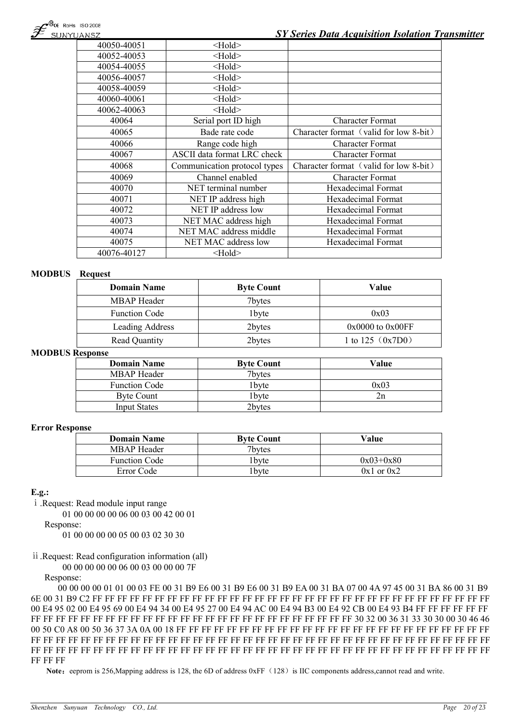| 40050-40051 | $\leq$ Hold $\geq$           |                                        |
|-------------|------------------------------|----------------------------------------|
| 40052-40053 | <hold></hold>                |                                        |
| 40054-40055 | $\leq$ Hold $\geq$           |                                        |
| 40056-40057 | $\leq$ Hold $\geq$           |                                        |
| 40058-40059 | $\leq$ Hold $\geq$           |                                        |
| 40060-40061 | $\leq$ Hold $\geq$           |                                        |
| 40062-40063 | $\leq$ Hold $\geq$           |                                        |
| 40064       | Serial port ID high          | <b>Character Format</b>                |
| 40065       | Bade rate code               | Character format (valid for low 8-bit) |
| 40066       | Range code high              | <b>Character Format</b>                |
| 40067       | ASCII data format LRC check  | <b>Character Format</b>                |
| 40068       | Communication protocol types | Character format (valid for low 8-bit) |
| 40069       | Channel enabled              | <b>Character Format</b>                |
| 40070       | NET terminal number          | Hexadecimal Format                     |
| 40071       | NET IP address high          | Hexadecimal Format                     |
| 40072       | NET IP address low           | Hexadecimal Format                     |
| 40073       | NET MAC address high         | Hexadecimal Format                     |
| 40074       | NET MAC address middle       | Hexadecimal Format                     |
| 40075       | NET MAC address low          | Hexadecimal Format                     |
| 40076-40127 | <hold></hold>                |                                        |

#### **MODBUS Request**

| <b>Domain Name</b>   | <b>Byte Count</b> | Value                |
|----------------------|-------------------|----------------------|
| <b>MBAP</b> Header   | 7bytes            |                      |
| <b>Function Code</b> | 1 <sub>bvte</sub> | 0x03                 |
| Leading Address      | 2bytes            | $0x0000$ to $0x00FF$ |
| <b>Read Quantity</b> | 2bytes            | 1 to 125 $(0x7D0)$   |

### **MODBUS Response**

| <b>Domain Name</b>   | <b>Byte Count</b> | Value |
|----------------------|-------------------|-------|
| MBAP Header          | 7bytes            |       |
| <b>Function Code</b> | l bvte            | 0x03  |
| Byte Count           | l bvte            |       |
| <b>Input States</b>  | 2bytes            |       |

#### **Error Response**

| <b>Domain Name</b>   | <b>Byte Count</b> | Value          |
|----------------------|-------------------|----------------|
| MBAP Header          | 7bytes            |                |
| <b>Function Code</b> | 1 byte            | $0x03+0x80$    |
| Error Code           | bvte.             | $0x1$ or $0x2$ |

#### **E.g.:**

ⅰ.Request: Read module input range

01 00 00 00 00 06 00 03 00 42 00 01

Response:

01 00 00 00 00 05 00 03 02 30 30

### ⅱ.Request: Read configuration information (all)

00 00 00 00 00 06 00 03 00 00 00 7F

Response:

00 00 00 00 01 01 00 03 FE 00 31 B9 E6 00 31 B9 E6 00 31 B9 EA 00 31 BA 07 00 4A 97 45 00 31 BA 86 00 31 B9 6E 00 31 B9 C2 FF FF FF FF FF FF FF FF FF FF FF FF FF FF FF FF FF FF FF FF FF FF FF FF FF FF FF FF FF FF FF FF 00 E4 95 02 00 E4 95 69 00 E4 94 34 00 E4 95 27 00 E4 94 AC 00 E4 94 B3 00 E4 92 CB 00 E4 93 B4 FF FF FF FF FF FF FF FF FF FF FF FF FF FF FF FF FF FF FF FF FF FF FF FF FF FF FF FF FF FF FF FF 30 32 00 36 31 33 30 30 00 30 46 46 00 50 C0 A8 00 50 36 37 3A 0A 00 18 FF FF FF FF FF FF FF FF FF FF FF FF FF FF FF FF FF FF FF FF FF FF FF FF FF FF FF FF FF FF FF FF FF FF FF FF FF FF FF FF FF FF FF FF FF FF FF FF FF FF FF FF FF FF FF FF FF FF FF FF FF FF FF FF FF FF FF FF FF FF FF FF FF FF FF FF FF FF FF FF FF FF FF FF FF FF FF FF FF FF FF FF FF FF FF FF FF FF FF FF FF FF

Note: eeprom is 256, Mapping address is 128, the 6D of address 0xFF (128) is IIC components address,cannot read and write.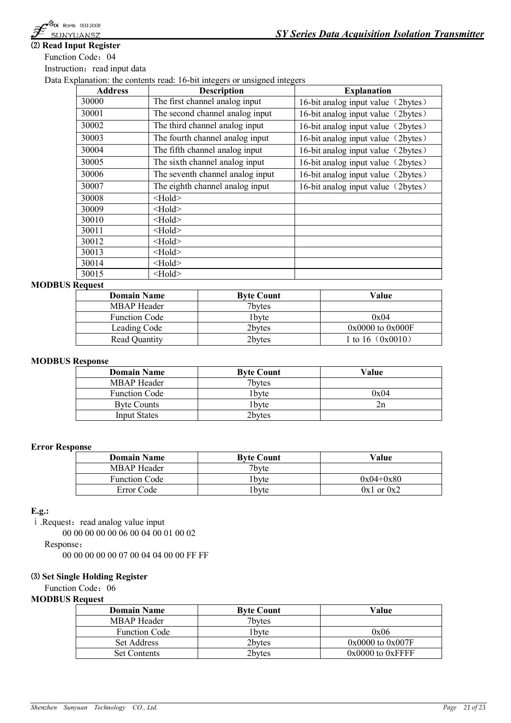

### **⑵ Read Input Register**

Function Code: 04

Instruction: read input data

Data Explanation: the contents read: 16-bit integers or unsigned integers

| <b>Address</b> | <b>Description</b>               | <b>Explanation</b>                 |
|----------------|----------------------------------|------------------------------------|
| 30000          | The first channel analog input   | 16-bit analog input value (2bytes) |
| 30001          | The second channel analog input  | 16-bit analog input value (2bytes) |
| 30002          | The third channel analog input   | 16-bit analog input value (2bytes) |
| 30003          | The fourth channel analog input  | 16-bit analog input value (2bytes) |
| 30004          | The fifth channel analog input   | 16-bit analog input value (2bytes) |
| 30005          | The sixth channel analog input   | 16-bit analog input value (2bytes) |
| 30006          | The seventh channel analog input | 16-bit analog input value (2bytes) |
| 30007          | The eighth channel analog input  | 16-bit analog input value (2bytes) |
| 30008          | $>$ Hold $>$                     |                                    |
| 30009          | $>$ Hold $>$                     |                                    |
| 30010          | $\leq$ Hold $\geq$               |                                    |
| 30011          | $\leq$ Hold $\geq$               |                                    |
| 30012          | $\leq$ Hold $\geq$               |                                    |
| 30013          | $\leq$ Hold $\geq$               |                                    |
| 30014          | $\leq$ Hold $\geq$               |                                    |
| 30015          | $\leq$ Hold $\geq$               |                                    |

### **MODBUS Request**

| <b>Domain Name</b>   | <b>Byte Count</b> | Value                 |
|----------------------|-------------------|-----------------------|
| <b>MBAP</b> Header   | 7bytes            |                       |
| <b>Function Code</b> | 1 <sub>bvte</sub> | 0x04                  |
| Leading Code         | 2bytes            | $0x0000$ to $0x000$ F |
| <b>Read Quantity</b> | 2bytes            | 1 to 16 $(0x0010)$    |

#### **MODBUS Response**

| <b>Domain Name</b>   | <b>Byte Count</b> | Value |
|----------------------|-------------------|-------|
| MBAP Header          | 7bytes            |       |
| <b>Function Code</b> | l byte            | 0x04  |
| <b>Byte Counts</b>   | l bvte            |       |
| Input States         | 2bytes            |       |

#### **Error Response**

| <b>Domain Name</b>   | <b>Byte Count</b> | Value          |
|----------------------|-------------------|----------------|
| MBAP Header          | 7byte             |                |
| <b>Function Code</b> | 1 byte            | $0x04+0x80$    |
| Error Code           | 1 bvte            | $0x1$ or $0x2$ |

#### **E.g.:**

i .Request: read analog value input

00 00 00 00 00 06 00 04 00 01 00 02

Response:

00 00 00 00 00 07 00 04 04 00 00 FF FF

#### **⑶ Set Single Holding Register**

Function Code: 06

#### **MODBUS Request**

| <b>Domain Name</b>   | <b>Byte Count</b> | Value                |
|----------------------|-------------------|----------------------|
| MBAP Header          | 7bytes            |                      |
| <b>Function Code</b> | 1 bvte            | 0x06                 |
| Set Address          | 2bvtes            | $0x0000$ to $0x007F$ |
| <b>Set Contents</b>  | 2bytes            | $0x0000$ to $0xFFFF$ |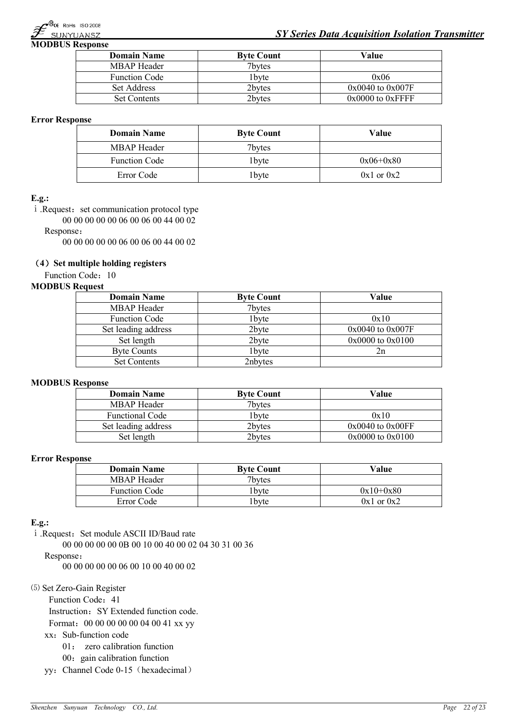

**MODBUS Response**

| <b>Domain Name</b>   | <b>Byte Count</b> | Value                |
|----------------------|-------------------|----------------------|
| MBAP Header          | 7bytes            |                      |
| <b>Function Code</b> | 1 byte            | 0x06                 |
| Set Address          | 2bytes            | $0x0040$ to $0x007F$ |
| <b>Set Contents</b>  | 2bytes            | $0x0000$ to $0xFFFF$ |

#### **Error Response**

| <b>Domain Name</b>   | <b>Byte Count</b> | Value          |
|----------------------|-------------------|----------------|
| MBAP Header          | 7bytes            |                |
| <b>Function Code</b> | 1 <sub>bvte</sub> | $0x06+0x80$    |
| Error Code           | 1 byte            | $0x1$ or $0x2$ |

#### **E.g.:**

i .Request: set communication protocol type

00 00 00 00 00 06 00 06 00 44 00 02

Response:

00 00 00 00 00 06 00 06 00 44 00 02

### **(4)Set multiple holding registers**

Function Code: 10

#### **MODBUS Request**

| <b>Domain Name</b>   | <b>Byte Count</b> | Value                |
|----------------------|-------------------|----------------------|
| <b>MBAP</b> Header   | 7bytes            |                      |
| <b>Function Code</b> | 1byte             | 0x10                 |
| Set leading address  | 2byte             | $0x0040$ to $0x007F$ |
| Set length           | 2byte             | 0x0000 to 0x0100     |
| <b>Byte Counts</b>   | 1byte             | 2n                   |
| <b>Set Contents</b>  | 2nbytes           |                      |

#### **MODBUS Response**

| <b>Domain Name</b>     | <b>Byte Count</b> | Value                |
|------------------------|-------------------|----------------------|
| <b>MBAP</b> Header     | 7bytes            |                      |
| <b>Functional Code</b> | 1 bvte            | 0x10                 |
| Set leading address    | 2bytes            | $0x0040$ to $0x00FF$ |
| Set length             | 2bytes            | $0x0000$ to $0x0100$ |

#### **Error Response**

| <b>Domain Name</b>   | <b>Byte Count</b> | Value          |
|----------------------|-------------------|----------------|
| MBAP Header          | 7bytes            |                |
| <b>Function Code</b> | 1 byte            | $0x10+0x80$    |
| Error Code           | 1 byte            | $0x1$ or $0x2$ |

#### **E.g.:**

i .Request: Set module ASCII ID/Baud rate

00 00 00 00 00 0B 00 10 00 40 00 02 04 30 31 00 36

Response:

00 00 00 00 00 06 00 10 00 40 00 02

### ⑸ Set Zero-Gain Register

Function Code: 41

Instruction: SY Extended function code.

Format:00 00 00 00 00 04 00 41 xx yy

### xx: Sub-function code

- 01: zero calibration function
- 00: gain calibration function
- yy: Channel Code 0-15 (hexadecimal)